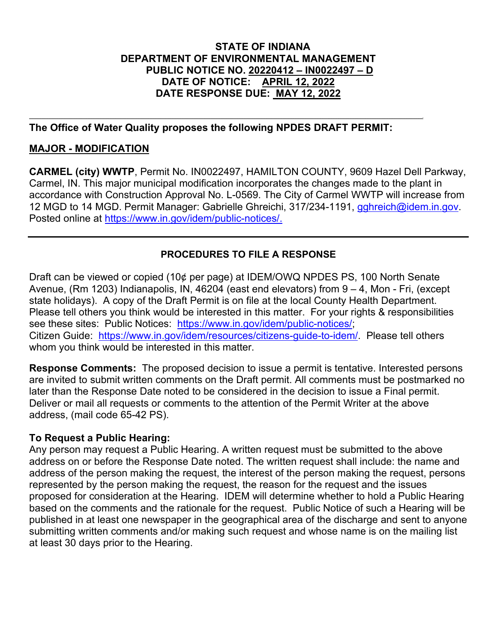# **STATE OF INDIANA DEPARTMENT OF ENVIRONMENTAL MANAGEMENT PUBLIC NOTICE NO. 20220412 – IN0022497 – D DATE OF NOTICE: APRIL 12, 2022 DATE RESPONSE DUE: MAY 12, 2022**

# **The Office of Water Quality proposes the following NPDES DRAFT PERMIT:**

,他们的人们就是一个人的人,他们的人们都是不是一个人的人,他们的人们都是不是一个人的人,他们的人们都是不是一个人的人,他们的人们都是不是一个人的人,他们的人们也

# **MAJOR - MODIFICATION**

**CARMEL (city) WWTP**, Permit No. IN0022497, HAMILTON COUNTY, 9609 Hazel Dell Parkway, Carmel, IN. This major municipal modification incorporates the changes made to the plant in accordance with Construction Approval No. L-0569. The City of Carmel WWTP will increase from 12 MGD to 14 MGD. Permit Manager: Gabrielle Ghreichi, 317/234-1191, [gghreich@idem.in.gov.](mailto:gghreich@idem.in.gov) Posted online at [https://www.in.gov/idem/public-notices/.](https://www.in.gov/idem/public-notices/)

# **PROCEDURES TO FILE A RESPONSE**

Draft can be viewed or copied (10¢ per page) at IDEM/OWQ NPDES PS, 100 North Senate Avenue, (Rm 1203) Indianapolis, IN, 46204 (east end elevators) from 9 – 4, Mon - Fri, (except state holidays). A copy of the Draft Permit is on file at the local County Health Department. Please tell others you think would be interested in this matter. For your rights & responsibilities see these sites: Public Notices: [https://www.in.gov/idem/public-notices/;](https://www.in.gov/idem/public-notices/) Citizen Guide: [https://www.in.gov/idem/resources/citizens-guide-to-idem/.](https://www.in.gov/idem/resources/citizens-guide-to-idem/) Please tell others whom you think would be interested in this matter.

**Response Comments:** The proposed decision to issue a permit is tentative. Interested persons are invited to submit written comments on the Draft permit. All comments must be postmarked no later than the Response Date noted to be considered in the decision to issue a Final permit. Deliver or mail all requests or comments to the attention of the Permit Writer at the above address, (mail code 65-42 PS).

# **To Request a Public Hearing:**

Any person may request a Public Hearing. A written request must be submitted to the above address on or before the Response Date noted. The written request shall include: the name and address of the person making the request, the interest of the person making the request, persons represented by the person making the request, the reason for the request and the issues proposed for consideration at the Hearing. IDEM will determine whether to hold a Public Hearing based on the comments and the rationale for the request. Public Notice of such a Hearing will be published in at least one newspaper in the geographical area of the discharge and sent to anyone submitting written comments and/or making such request and whose name is on the mailing list at least 30 days prior to the Hearing.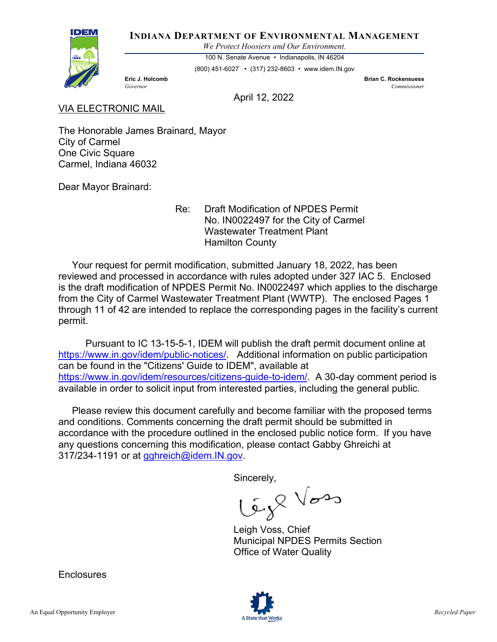

**INDIANA DEPARTMENT OF ENVIRONMENTAL MANAGEMENT**

*We Protect Hoosiers and Our Environment.*

100 N. Senate Avenue • Indianapolis, IN 46204

(800) 451-6027 • (317) 232-8603 • www.idem.IN.gov

**Eric J. Holcomb Brian C. Rockensuess** *Governor Commissioner* 

April 12, 2022

#### VIA ELECTRONIC MAIL

The Honorable James Brainard, Mayor City of Carmel One Civic Square Carmel, Indiana 46032

Dear Mayor Brainard:

 Re: Draft Modification of NPDES Permit No. IN0022497 for the City of Carmel Wastewater Treatment Plant Hamilton County

 Your request for permit modification, submitted January 18, 2022, has been reviewed and processed in accordance with rules adopted under 327 IAC 5. Enclosed is the draft modification of NPDES Permit No. IN0022497 which applies to the discharge from the City of Carmel Wastewater Treatment Plant (WWTP). The enclosed Pages 1 through 11 of 42 are intended to replace the corresponding pages in the facility's current permit.

 Pursuant to IC 13-15-5-1, IDEM will publish the draft permit document online at [https://www.in.gov/idem/public-notices/.](https://www.in.gov/idem/public-notices/) Additional information on public participation can be found in the "Citizens' Guide to IDEM", available at [https://www.in.gov/idem/resources/citizens-guide-to-idem/.](https://www.in.gov/idem/resources/citizens-guide-to-idem/) A 30-day comment period is available in order to solicit input from interested parties, including the general public.

 Please review this document carefully and become familiar with the proposed terms and conditions. Comments concerning the draft permit should be submitted in accordance with the procedure outlined in the enclosed public notice form. If you have any questions concerning this modification, please contact Gabby Ghreichi at 317/234-1191 or at gahreich@idem.IN.gov.

Sincerely,<br> $\int_{\mathcal{L}} \int_{\mathcal{N}} \sqrt{\sigma^2}$ 

 Leigh Voss, Chief Municipal NPDES Permits Section Office of Water Quality

**Enclosures** 

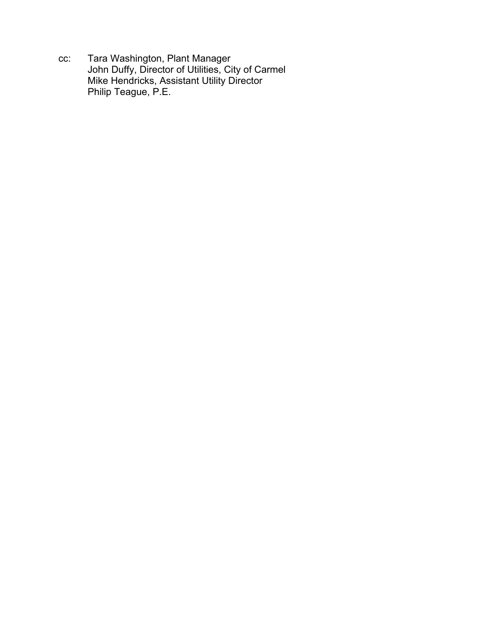cc: Tara Washington, Plant Manager John Duffy, Director of Utilities, City of Carmel Mike Hendricks, Assistant Utility Director Philip Teague, P.E.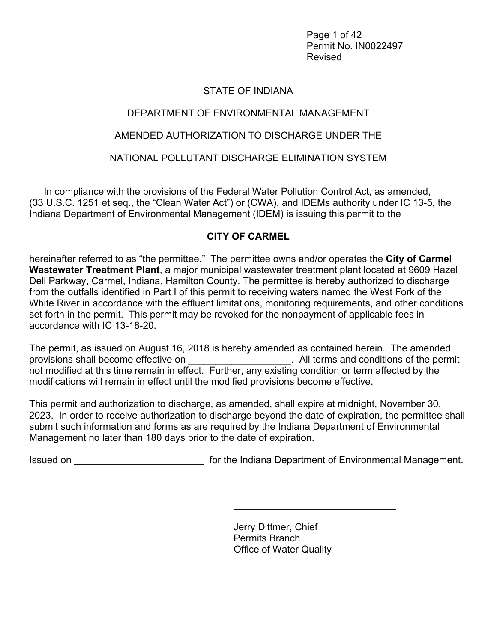Page 1 of 42 Permit No. IN0022497 Revised

# STATE OF INDIANA

# DEPARTMENT OF ENVIRONMENTAL MANAGEMENT

# AMENDED AUTHORIZATION TO DISCHARGE UNDER THE

## NATIONAL POLLUTANT DISCHARGE ELIMINATION SYSTEM

In compliance with the provisions of the Federal Water Pollution Control Act, as amended, (33 U.S.C. 1251 et seq., the "Clean Water Act") or (CWA), and IDEMs authority under IC 13-5, the Indiana Department of Environmental Management (IDEM) is issuing this permit to the

# **CITY OF CARMEL**

hereinafter referred to as "the permittee." The permittee owns and/or operates the **City of Carmel Wastewater Treatment Plant**, a major municipal wastewater treatment plant located at 9609 Hazel Dell Parkway, Carmel, Indiana, Hamilton County. The permittee is hereby authorized to discharge from the outfalls identified in Part I of this permit to receiving waters named the West Fork of the White River in accordance with the effluent limitations, monitoring requirements, and other conditions set forth in the permit. This permit may be revoked for the nonpayment of applicable fees in accordance with IC 13-18-20.

The permit, as issued on August 16, 2018 is hereby amended as contained herein. The amended provisions shall become effective on \_\_\_\_\_\_\_\_\_\_\_\_\_\_\_\_\_\_\_\_. All terms and conditions of the permit not modified at this time remain in effect. Further, any existing condition or term affected by the modifications will remain in effect until the modified provisions become effective.

This permit and authorization to discharge, as amended, shall expire at midnight, November 30, 2023. In order to receive authorization to discharge beyond the date of expiration, the permittee shall submit such information and forms as are required by the Indiana Department of Environmental Management no later than 180 days prior to the date of expiration.

Issued on \_\_\_\_\_\_\_\_\_\_\_\_\_\_\_\_\_\_\_\_\_\_\_\_ for the Indiana Department of Environmental Management.

Jerry Dittmer, Chief Permits Branch Office of Water Quality

\_\_\_\_\_\_\_\_\_\_\_\_\_\_\_\_\_\_\_\_\_\_\_\_\_\_\_\_\_\_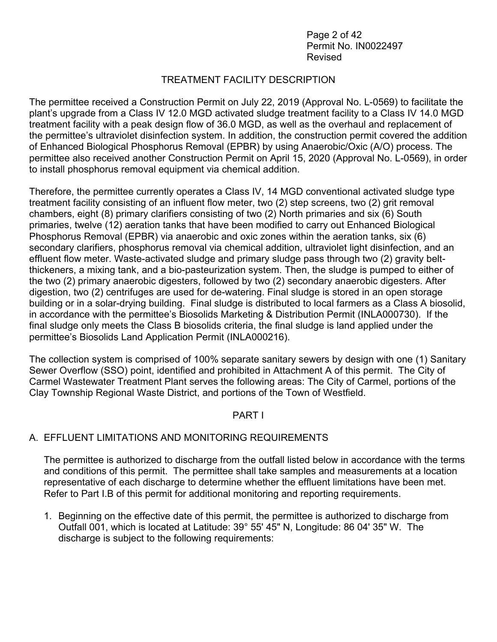Page 2 of 42 Permit No. IN0022497 Revised

## TREATMENT FACILITY DESCRIPTION

The permittee received a Construction Permit on July 22, 2019 (Approval No. L-0569) to facilitate the plant's upgrade from a Class IV 12.0 MGD activated sludge treatment facility to a Class IV 14.0 MGD treatment facility with a peak design flow of 36.0 MGD, as well as the overhaul and replacement of the permittee's ultraviolet disinfection system. In addition, the construction permit covered the addition of Enhanced Biological Phosphorus Removal (EPBR) by using Anaerobic/Oxic (A/O) process. The permittee also received another Construction Permit on April 15, 2020 (Approval No. L-0569), in order to install phosphorus removal equipment via chemical addition.

Therefore, the permittee currently operates a Class IV, 14 MGD conventional activated sludge type treatment facility consisting of an influent flow meter, two (2) step screens, two (2) grit removal chambers, eight (8) primary clarifiers consisting of two (2) North primaries and six (6) South primaries, twelve (12) aeration tanks that have been modified to carry out Enhanced Biological Phosphorus Removal (EPBR) via anaerobic and oxic zones within the aeration tanks, six (6) secondary clarifiers, phosphorus removal via chemical addition, ultraviolet light disinfection, and an effluent flow meter. Waste-activated sludge and primary sludge pass through two (2) gravity beltthickeners, a mixing tank, and a bio-pasteurization system. Then, the sludge is pumped to either of the two (2) primary anaerobic digesters, followed by two (2) secondary anaerobic digesters. After digestion, two (2) centrifuges are used for de-watering. Final sludge is stored in an open storage building or in a solar-drying building. Final sludge is distributed to local farmers as a Class A biosolid, in accordance with the permittee's Biosolids Marketing & Distribution Permit (INLA000730). If the final sludge only meets the Class B biosolids criteria, the final sludge is land applied under the permittee's Biosolids Land Application Permit (INLA000216).

The collection system is comprised of 100% separate sanitary sewers by design with one (1) Sanitary Sewer Overflow (SSO) point, identified and prohibited in Attachment A of this permit. The City of Carmel Wastewater Treatment Plant serves the following areas: The City of Carmel, portions of the Clay Township Regional Waste District, and portions of the Town of Westfield.

## PART I

# A. EFFLUENT LIMITATIONS AND MONITORING REQUIREMENTS

The permittee is authorized to discharge from the outfall listed below in accordance with the terms and conditions of this permit. The permittee shall take samples and measurements at a location representative of each discharge to determine whether the effluent limitations have been met. Refer to Part I.B of this permit for additional monitoring and reporting requirements.

1. Beginning on the effective date of this permit, the permittee is authorized to discharge from Outfall 001, which is located at Latitude: 39° 55' 45" N, Longitude: 86 04' 35" W. The discharge is subject to the following requirements: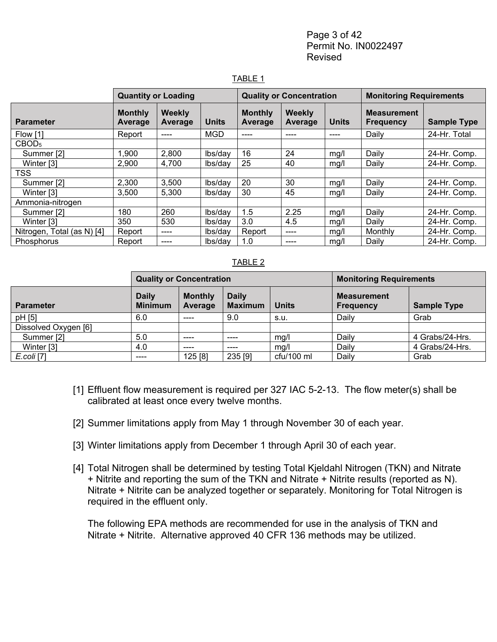#### Page 3 of 42 Permit No. IN0022497 Revised

|                            | <b>Quantity or Loading</b> |                   |              | <b>Quality or Concentration</b> |                          |              | <b>Monitoring Requirements</b>         |                    |
|----------------------------|----------------------------|-------------------|--------------|---------------------------------|--------------------------|--------------|----------------------------------------|--------------------|
| <b>Parameter</b>           | <b>Monthly</b><br>Average  | Weekly<br>Average | <b>Units</b> | <b>Monthly</b><br>Average       | <b>Weekly</b><br>Average | <b>Units</b> | <b>Measurement</b><br><b>Frequency</b> | <b>Sample Type</b> |
| Flow [1]                   | Report                     | ----              | <b>MGD</b>   | ----                            | ----                     | ----         | Daily                                  | 24-Hr. Total       |
| CBOD <sub>5</sub>          |                            |                   |              |                                 |                          |              |                                        |                    |
| Summer [2]                 | 1,900                      | 2,800             | lbs/day      | 16                              | 24                       | mg/l         | Daily                                  | 24-Hr. Comp.       |
| Winter [3]                 | 2,900                      | 4,700             | lbs/dav      | 25                              | 40                       | mg/l         | Daily                                  | 24-Hr. Comp.       |
| <b>TSS</b>                 |                            |                   |              |                                 |                          |              |                                        |                    |
| Summer [2]                 | 2,300                      | 3,500             | lbs/day      | 20                              | 30                       | mg/l         | Daily                                  | 24-Hr. Comp.       |
| Winter [3]                 | 3,500                      | 5,300             | lbs/dav      | 30                              | 45                       | mg/l         | Daily                                  | 24-Hr. Comp.       |
| Ammonia-nitrogen           |                            |                   |              |                                 |                          |              |                                        |                    |
| Summer [2]                 | 180                        | 260               | lbs/dav      | 1.5                             | 2.25                     | mg/l         | Daily                                  | 24-Hr. Comp.       |
| Winter [3]                 | 350                        | 530               | lbs/dav      | 3.0                             | 4.5                      | mq/l         | Daily                                  | 24-Hr. Comp.       |
| Nitrogen, Total (as N) [4] | Report                     | ----              | lbs/dav      | Report                          | ----                     | mg/l         | Monthly                                | 24-Hr. Comp.       |
| <b>Phosphorus</b>          | Report                     | ----              | lbs/dav      | 1.0                             |                          | mg/l         | Daily                                  | 24-Hr. Comp.       |

#### TABLE 1

#### TABLE 2

|                      | <b>Quality or Concentration</b> |                           |                                |              | <b>Monitoring Requirements</b>         |                    |  |
|----------------------|---------------------------------|---------------------------|--------------------------------|--------------|----------------------------------------|--------------------|--|
| <b>Parameter</b>     | <b>Daily</b><br><b>Minimum</b>  | <b>Monthly</b><br>Average | <b>Daily</b><br><b>Maximum</b> | <b>Units</b> | <b>Measurement</b><br><b>Frequency</b> | <b>Sample Type</b> |  |
| pH [5]               | 6.0                             | $- - - -$                 | 9.0                            | s.u.         | Daily                                  | Grab               |  |
| Dissolved Oxygen [6] |                                 |                           |                                |              |                                        |                    |  |
| Summer [2]           | 5.0                             | $- - - -$                 | $- - - -$                      | mg/l         | Daily                                  | 4 Grabs/24-Hrs.    |  |
| Winter [3]           | 4.0                             | $- - - -$                 | $- - - -$                      | ma/          | Daily                                  | 4 Grabs/24-Hrs.    |  |
| $E.$ coli [7]        | ----                            | 125 [8]                   | 235 [9]                        | $ctu/100$ ml | Daily                                  | Grab               |  |

- [1] Effluent flow measurement is required per 327 IAC 5-2-13. The flow meter(s) shall be calibrated at least once every twelve months.
- [2] Summer limitations apply from May 1 through November 30 of each year.
- [3] Winter limitations apply from December 1 through April 30 of each year.
- [4] Total Nitrogen shall be determined by testing Total Kjeldahl Nitrogen (TKN) and Nitrate + Nitrite and reporting the sum of the TKN and Nitrate + Nitrite results (reported as N). Nitrate + Nitrite can be analyzed together or separately. Monitoring for Total Nitrogen is required in the effluent only.

 The following EPA methods are recommended for use in the analysis of TKN and Nitrate + Nitrite. Alternative approved 40 CFR 136 methods may be utilized.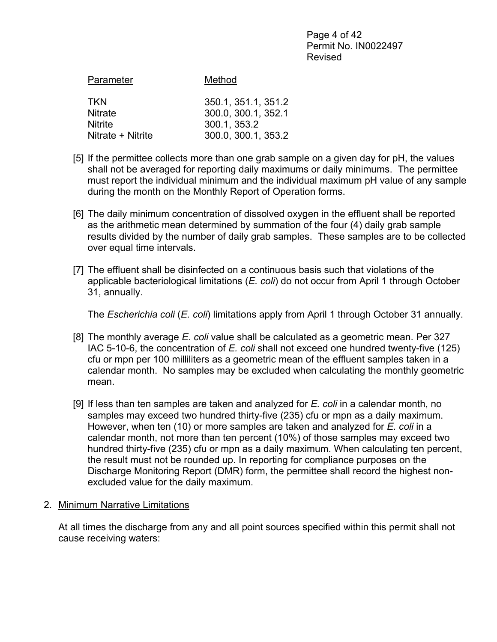Page 4 of 42 Permit No. IN0022497 Revised

| Parameter         | Method              |
|-------------------|---------------------|
| TKN               | 350.1, 351.1, 351.2 |
| <b>Nitrate</b>    | 300.0, 300.1, 352.1 |
| <b>Nitrite</b>    | 300.1, 353.2        |
| Nitrate + Nitrite | 300.0, 300.1, 353.2 |

- [5] If the permittee collects more than one grab sample on a given day for pH, the values shall not be averaged for reporting daily maximums or daily minimums. The permittee must report the individual minimum and the individual maximum pH value of any sample during the month on the Monthly Report of Operation forms.
- [6] The daily minimum concentration of dissolved oxygen in the effluent shall be reported as the arithmetic mean determined by summation of the four (4) daily grab sample results divided by the number of daily grab samples. These samples are to be collected over equal time intervals.
- [7] The effluent shall be disinfected on a continuous basis such that violations of the applicable bacteriological limitations (*E. coli*) do not occur from April 1 through October 31, annually.

The *Escherichia coli* (*E. coli*) limitations apply from April 1 through October 31 annually.

- [8] The monthly average *E. coli* value shall be calculated as a geometric mean. Per 327 IAC 5-10-6, the concentration of *E. coli* shall not exceed one hundred twenty-five (125) cfu or mpn per 100 milliliters as a geometric mean of the effluent samples taken in a calendar month. No samples may be excluded when calculating the monthly geometric mean.
- [9] If less than ten samples are taken and analyzed for *E. coli* in a calendar month, no samples may exceed two hundred thirty-five (235) cfu or mpn as a daily maximum. However, when ten (10) or more samples are taken and analyzed for *E. coli* in a calendar month, not more than ten percent (10%) of those samples may exceed two hundred thirty-five (235) cfu or mpn as a daily maximum. When calculating ten percent, the result must not be rounded up. In reporting for compliance purposes on the Discharge Monitoring Report (DMR) form, the permittee shall record the highest nonexcluded value for the daily maximum.

## 2. Minimum Narrative Limitations

At all times the discharge from any and all point sources specified within this permit shall not cause receiving waters: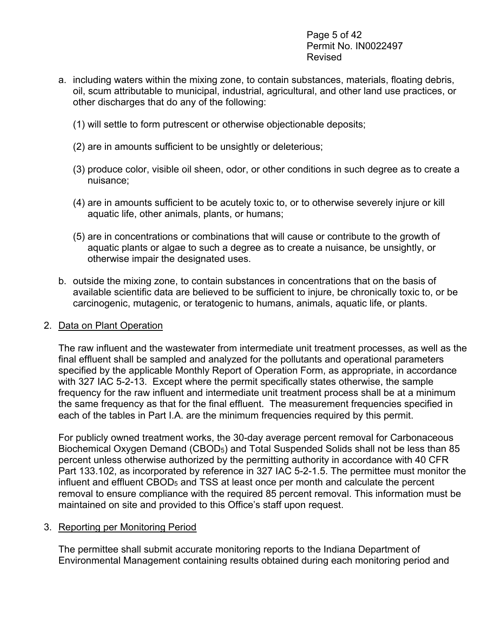Page 5 of 42 Permit No. IN0022497 Revised

- a. including waters within the mixing zone, to contain substances, materials, floating debris, oil, scum attributable to municipal, industrial, agricultural, and other land use practices, or other discharges that do any of the following:
	- (1) will settle to form putrescent or otherwise objectionable deposits;
	- (2) are in amounts sufficient to be unsightly or deleterious;
	- (3) produce color, visible oil sheen, odor, or other conditions in such degree as to create a nuisance;
	- (4) are in amounts sufficient to be acutely toxic to, or to otherwise severely injure or kill aquatic life, other animals, plants, or humans;
	- (5) are in concentrations or combinations that will cause or contribute to the growth of aquatic plants or algae to such a degree as to create a nuisance, be unsightly, or otherwise impair the designated uses.
- b. outside the mixing zone, to contain substances in concentrations that on the basis of available scientific data are believed to be sufficient to injure, be chronically toxic to, or be carcinogenic, mutagenic, or teratogenic to humans, animals, aquatic life, or plants.

## 2. Data on Plant Operation

The raw influent and the wastewater from intermediate unit treatment processes, as well as the final effluent shall be sampled and analyzed for the pollutants and operational parameters specified by the applicable Monthly Report of Operation Form, as appropriate, in accordance with 327 IAC 5-2-13. Except where the permit specifically states otherwise, the sample frequency for the raw influent and intermediate unit treatment process shall be at a minimum the same frequency as that for the final effluent. The measurement frequencies specified in each of the tables in Part I.A. are the minimum frequencies required by this permit.

For publicly owned treatment works, the 30-day average percent removal for Carbonaceous Biochemical Oxygen Demand (CBOD5) and Total Suspended Solids shall not be less than 85 percent unless otherwise authorized by the permitting authority in accordance with 40 CFR Part 133.102, as incorporated by reference in 327 IAC 5-2-1.5. The permittee must monitor the influent and effluent CBOD5 and TSS at least once per month and calculate the percent removal to ensure compliance with the required 85 percent removal. This information must be maintained on site and provided to this Office's staff upon request.

## 3. Reporting per Monitoring Period

The permittee shall submit accurate monitoring reports to the Indiana Department of Environmental Management containing results obtained during each monitoring period and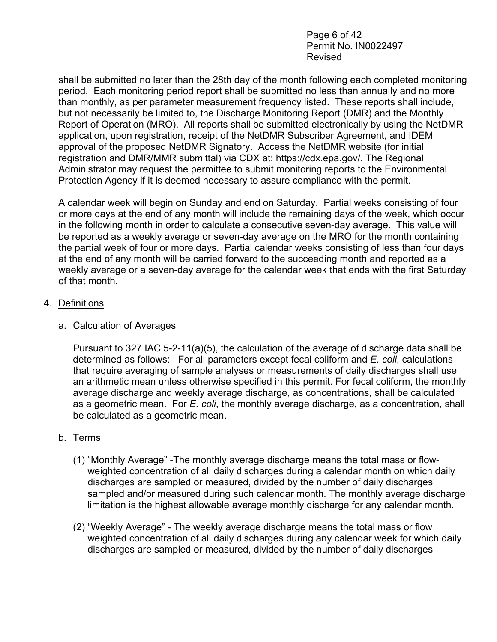Page 6 of 42 Permit No. IN0022497 Revised

shall be submitted no later than the 28th day of the month following each completed monitoring period. Each monitoring period report shall be submitted no less than annually and no more than monthly, as per parameter measurement frequency listed. These reports shall include, but not necessarily be limited to, the Discharge Monitoring Report (DMR) and the Monthly Report of Operation (MRO). All reports shall be submitted electronically by using the NetDMR application, upon registration, receipt of the NetDMR Subscriber Agreement, and IDEM approval of the proposed NetDMR Signatory. Access the NetDMR website (for initial registration and DMR/MMR submittal) via CDX at: https://cdx.epa.gov/. The Regional Administrator may request the permittee to submit monitoring reports to the Environmental Protection Agency if it is deemed necessary to assure compliance with the permit.

A calendar week will begin on Sunday and end on Saturday. Partial weeks consisting of four or more days at the end of any month will include the remaining days of the week, which occur in the following month in order to calculate a consecutive seven-day average. This value will be reported as a weekly average or seven-day average on the MRO for the month containing the partial week of four or more days. Partial calendar weeks consisting of less than four days at the end of any month will be carried forward to the succeeding month and reported as a weekly average or a seven-day average for the calendar week that ends with the first Saturday of that month.

## 4. Definitions

## a. Calculation of Averages

Pursuant to 327 IAC 5-2-11(a)(5), the calculation of the average of discharge data shall be determined as follows: For all parameters except fecal coliform and *E. coli*, calculations that require averaging of sample analyses or measurements of daily discharges shall use an arithmetic mean unless otherwise specified in this permit. For fecal coliform, the monthly average discharge and weekly average discharge, as concentrations, shall be calculated as a geometric mean. For *E. coli*, the monthly average discharge, as a concentration, shall be calculated as a geometric mean.

## b. Terms

- (1) "Monthly Average" -The monthly average discharge means the total mass or flowweighted concentration of all daily discharges during a calendar month on which daily discharges are sampled or measured, divided by the number of daily discharges sampled and/or measured during such calendar month. The monthly average discharge limitation is the highest allowable average monthly discharge for any calendar month.
- (2) "Weekly Average" The weekly average discharge means the total mass or flow weighted concentration of all daily discharges during any calendar week for which daily discharges are sampled or measured, divided by the number of daily discharges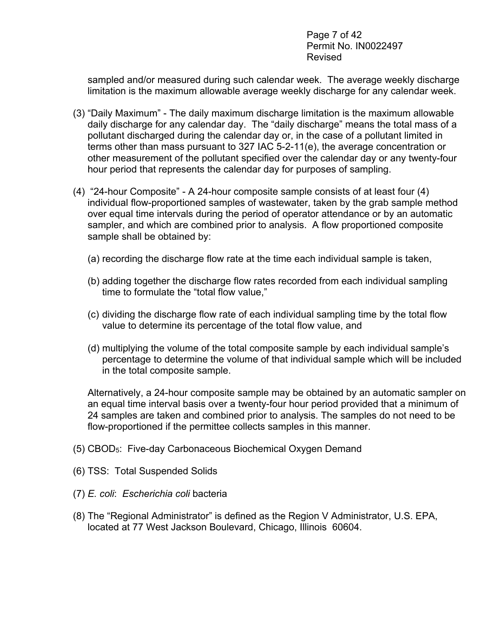Page 7 of 42 Permit No. IN0022497 Revised

sampled and/or measured during such calendar week. The average weekly discharge limitation is the maximum allowable average weekly discharge for any calendar week.

- (3) "Daily Maximum" The daily maximum discharge limitation is the maximum allowable daily discharge for any calendar day. The "daily discharge" means the total mass of a pollutant discharged during the calendar day or, in the case of a pollutant limited in terms other than mass pursuant to 327 IAC 5-2-11(e), the average concentration or other measurement of the pollutant specified over the calendar day or any twenty-four hour period that represents the calendar day for purposes of sampling.
- (4) "24-hour Composite" A 24-hour composite sample consists of at least four (4) individual flow-proportioned samples of wastewater, taken by the grab sample method over equal time intervals during the period of operator attendance or by an automatic sampler, and which are combined prior to analysis. A flow proportioned composite sample shall be obtained by:
	- (a) recording the discharge flow rate at the time each individual sample is taken,
	- (b) adding together the discharge flow rates recorded from each individual sampling time to formulate the "total flow value,"
	- (c) dividing the discharge flow rate of each individual sampling time by the total flow value to determine its percentage of the total flow value, and
	- (d) multiplying the volume of the total composite sample by each individual sample's percentage to determine the volume of that individual sample which will be included in the total composite sample.

Alternatively, a 24-hour composite sample may be obtained by an automatic sampler on an equal time interval basis over a twenty-four hour period provided that a minimum of 24 samples are taken and combined prior to analysis. The samples do not need to be flow-proportioned if the permittee collects samples in this manner.

- (5) CBOD5: Five-day Carbonaceous Biochemical Oxygen Demand
- (6) TSS: Total Suspended Solids
- (7) *E. coli*: *Escherichia coli* bacteria
- (8) The "Regional Administrator" is defined as the Region V Administrator, U.S. EPA, located at 77 West Jackson Boulevard, Chicago, Illinois 60604.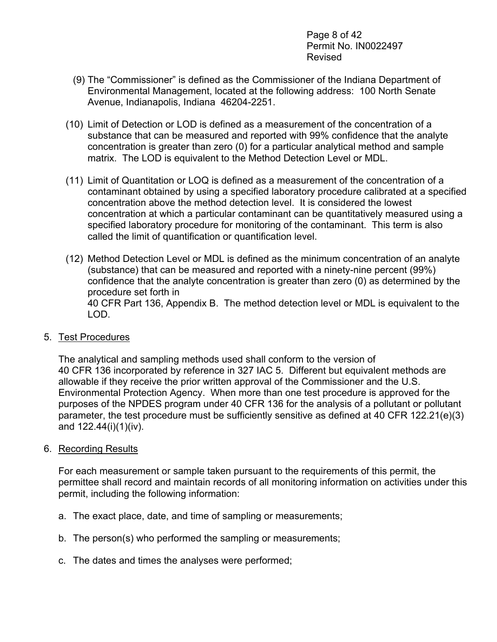Page 8 of 42 Permit No. IN0022497 Revised

- (9) The "Commissioner" is defined as the Commissioner of the Indiana Department of Environmental Management, located at the following address: 100 North Senate Avenue, Indianapolis, Indiana 46204-2251.
- (10) Limit of Detection or LOD is defined as a measurement of the concentration of a substance that can be measured and reported with 99% confidence that the analyte concentration is greater than zero (0) for a particular analytical method and sample matrix. The LOD is equivalent to the Method Detection Level or MDL.
- (11) Limit of Quantitation or LOQ is defined as a measurement of the concentration of a contaminant obtained by using a specified laboratory procedure calibrated at a specified concentration above the method detection level. It is considered the lowest concentration at which a particular contaminant can be quantitatively measured using a specified laboratory procedure for monitoring of the contaminant. This term is also called the limit of quantification or quantification level.
- (12) Method Detection Level or MDL is defined as the minimum concentration of an analyte (substance) that can be measured and reported with a ninety-nine percent (99%) confidence that the analyte concentration is greater than zero (0) as determined by the procedure set forth in 40 CFR Part 136, Appendix B. The method detection level or MDL is equivalent to the LOD.
- 5. Test Procedures

The analytical and sampling methods used shall conform to the version of 40 CFR 136 incorporated by reference in 327 IAC 5. Different but equivalent methods are allowable if they receive the prior written approval of the Commissioner and the U.S. Environmental Protection Agency. When more than one test procedure is approved for the purposes of the NPDES program under 40 CFR 136 for the analysis of a pollutant or pollutant parameter, the test procedure must be sufficiently sensitive as defined at 40 CFR 122.21(e)(3) and 122.44(i)(1)(iv).

#### 6. Recording Results

For each measurement or sample taken pursuant to the requirements of this permit, the permittee shall record and maintain records of all monitoring information on activities under this permit, including the following information:

- a. The exact place, date, and time of sampling or measurements;
- b. The person(s) who performed the sampling or measurements;
- c. The dates and times the analyses were performed;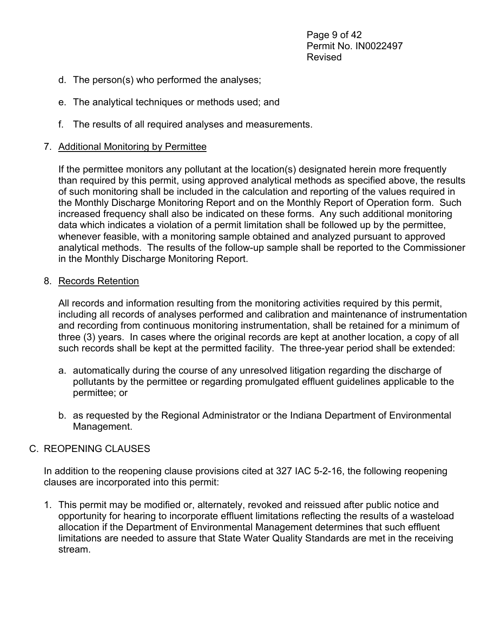Page 9 of 42 Permit No. IN0022497 Revised

- d. The person(s) who performed the analyses;
- e. The analytical techniques or methods used; and
- f. The results of all required analyses and measurements.

## 7. Additional Monitoring by Permittee

If the permittee monitors any pollutant at the location(s) designated herein more frequently than required by this permit, using approved analytical methods as specified above, the results of such monitoring shall be included in the calculation and reporting of the values required in the Monthly Discharge Monitoring Report and on the Monthly Report of Operation form. Such increased frequency shall also be indicated on these forms. Any such additional monitoring data which indicates a violation of a permit limitation shall be followed up by the permittee, whenever feasible, with a monitoring sample obtained and analyzed pursuant to approved analytical methods. The results of the follow-up sample shall be reported to the Commissioner in the Monthly Discharge Monitoring Report.

#### 8. Records Retention

All records and information resulting from the monitoring activities required by this permit, including all records of analyses performed and calibration and maintenance of instrumentation and recording from continuous monitoring instrumentation, shall be retained for a minimum of three (3) years. In cases where the original records are kept at another location, a copy of all such records shall be kept at the permitted facility. The three-year period shall be extended:

- a. automatically during the course of any unresolved litigation regarding the discharge of pollutants by the permittee or regarding promulgated effluent guidelines applicable to the permittee; or
- b. as requested by the Regional Administrator or the Indiana Department of Environmental Management.

## C. REOPENING CLAUSES

In addition to the reopening clause provisions cited at 327 IAC 5-2-16, the following reopening clauses are incorporated into this permit:

1. This permit may be modified or, alternately, revoked and reissued after public notice and opportunity for hearing to incorporate effluent limitations reflecting the results of a wasteload allocation if the Department of Environmental Management determines that such effluent limitations are needed to assure that State Water Quality Standards are met in the receiving stream.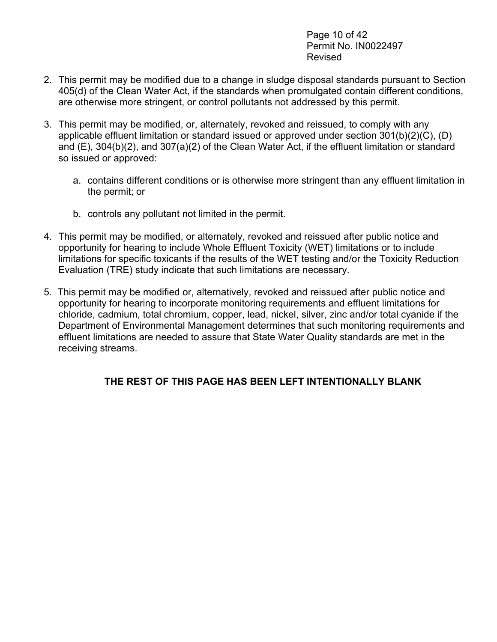Page 10 of 42 Permit No. IN0022497 Revised

- 2. This permit may be modified due to a change in sludge disposal standards pursuant to Section 405(d) of the Clean Water Act, if the standards when promulgated contain different conditions, are otherwise more stringent, or control pollutants not addressed by this permit.
- 3. This permit may be modified, or, alternately, revoked and reissued, to comply with any applicable effluent limitation or standard issued or approved under section 301(b)(2)(C), (D) and (E), 304(b)(2), and 307(a)(2) of the Clean Water Act, if the effluent limitation or standard so issued or approved:
	- a. contains different conditions or is otherwise more stringent than any effluent limitation in the permit; or
	- b. controls any pollutant not limited in the permit.
- 4. This permit may be modified, or alternately, revoked and reissued after public notice and opportunity for hearing to include Whole Effluent Toxicity (WET) limitations or to include limitations for specific toxicants if the results of the WET testing and/or the Toxicity Reduction Evaluation (TRE) study indicate that such limitations are necessary.
- 5. This permit may be modified or, alternatively, revoked and reissued after public notice and opportunity for hearing to incorporate monitoring requirements and effluent limitations for chloride, cadmium, total chromium, copper, lead, nickel, silver, zinc and/or total cyanide if the Department of Environmental Management determines that such monitoring requirements and effluent limitations are needed to assure that State Water Quality standards are met in the receiving streams.

# **THE REST OF THIS PAGE HAS BEEN LEFT INTENTIONALLY BLANK**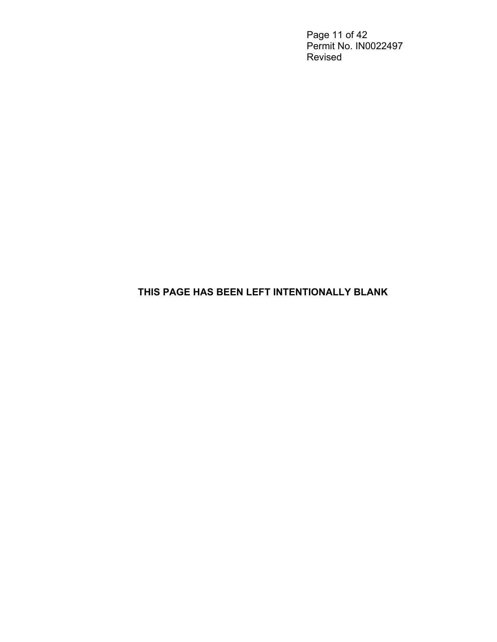Page 11 of 42 Permit No. IN0022497 Revised

# **THIS PAGE HAS BEEN LEFT INTENTIONALLY BLANK**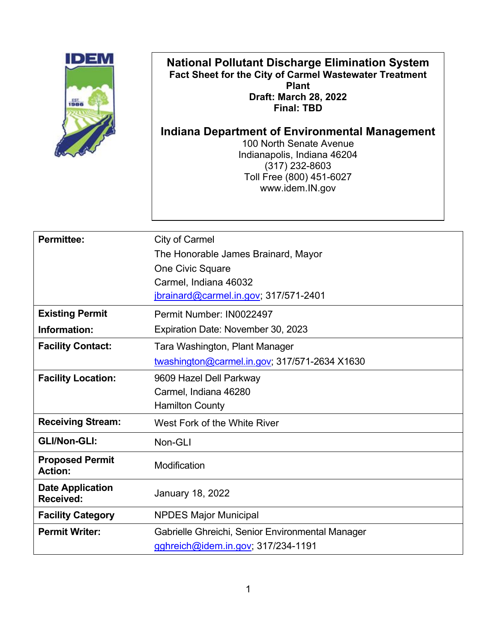| IDEM<br>1986                                | <b>National Pollutant Discharge Elimination System</b><br><b>Fact Sheet for the City of Carmel Wastewater Treatment</b><br><b>Plant</b><br>Draft: March 28, 2022<br><b>Final: TBD</b><br><b>Indiana Department of Environmental Management</b><br>100 North Senate Avenue<br>Indianapolis, Indiana 46204<br>$(317)$ 232-8603<br>Toll Free (800) 451-6027<br>www.idem.IN.gov |  |  |  |  |
|---------------------------------------------|-----------------------------------------------------------------------------------------------------------------------------------------------------------------------------------------------------------------------------------------------------------------------------------------------------------------------------------------------------------------------------|--|--|--|--|
| <b>Permittee:</b>                           | City of Carmel<br>The Honorable James Brainard, Mayor<br>One Civic Square<br>Carmel, Indiana 46032<br>jbrainard@carmel.in.gov; 317/571-2401                                                                                                                                                                                                                                 |  |  |  |  |
| <b>Existing Permit</b><br>Information:      | Permit Number: IN0022497<br>Expiration Date: November 30, 2023                                                                                                                                                                                                                                                                                                              |  |  |  |  |
| <b>Facility Contact:</b>                    | Tara Washington, Plant Manager<br>twashington@carmel.in.gov; 317/571-2634 X1630                                                                                                                                                                                                                                                                                             |  |  |  |  |
| <b>Facility Location:</b>                   | 9609 Hazel Dell Parkway<br>Carmel, Indiana 46280<br><b>Hamilton County</b>                                                                                                                                                                                                                                                                                                  |  |  |  |  |
| <b>Receiving Stream:</b>                    | West Fork of the White River                                                                                                                                                                                                                                                                                                                                                |  |  |  |  |
| <b>GLI/Non-GLI:</b>                         | Non-GLI                                                                                                                                                                                                                                                                                                                                                                     |  |  |  |  |
| <b>Proposed Permit</b><br><b>Action:</b>    | Modification                                                                                                                                                                                                                                                                                                                                                                |  |  |  |  |
| <b>Date Application</b><br><b>Received:</b> | <b>January 18, 2022</b>                                                                                                                                                                                                                                                                                                                                                     |  |  |  |  |
| <b>Facility Category</b>                    | <b>NPDES Major Municipal</b>                                                                                                                                                                                                                                                                                                                                                |  |  |  |  |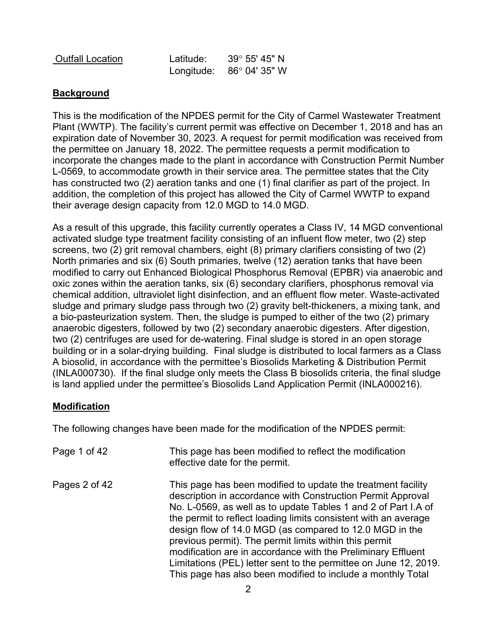| <b>Outfall Location</b> | Latitude: | $39^\circ$ 55' 45" N            |
|-------------------------|-----------|---------------------------------|
|                         |           | Longitude: $86^\circ$ 04' 35" W |

## **Background**

This is the modification of the NPDES permit for the City of Carmel Wastewater Treatment Plant (WWTP). The facility's current permit was effective on December 1, 2018 and has an expiration date of November 30, 2023. A request for permit modification was received from the permittee on January 18, 2022. The permittee requests a permit modification to incorporate the changes made to the plant in accordance with Construction Permit Number L-0569, to accommodate growth in their service area. The permittee states that the City has constructed two (2) aeration tanks and one (1) final clarifier as part of the project. In addition, the completion of this project has allowed the City of Carmel WWTP to expand their average design capacity from 12.0 MGD to 14.0 MGD.

As a result of this upgrade, this facility currently operates a Class IV, 14 MGD conventional activated sludge type treatment facility consisting of an influent flow meter, two (2) step screens, two (2) grit removal chambers, eight (8) primary clarifiers consisting of two (2) North primaries and six (6) South primaries, twelve (12) aeration tanks that have been modified to carry out Enhanced Biological Phosphorus Removal (EPBR) via anaerobic and oxic zones within the aeration tanks, six (6) secondary clarifiers, phosphorus removal via chemical addition, ultraviolet light disinfection, and an effluent flow meter. Waste-activated sludge and primary sludge pass through two (2) gravity belt-thickeners, a mixing tank, and a bio-pasteurization system. Then, the sludge is pumped to either of the two (2) primary anaerobic digesters, followed by two (2) secondary anaerobic digesters. After digestion, two (2) centrifuges are used for de-watering. Final sludge is stored in an open storage building or in a solar-drying building. Final sludge is distributed to local farmers as a Class A biosolid, in accordance with the permittee's Biosolids Marketing & Distribution Permit (INLA000730). If the final sludge only meets the Class B biosolids criteria, the final sludge is land applied under the permittee's Biosolids Land Application Permit (INLA000216).

#### **Modification**

The following changes have been made for the modification of the NPDES permit:

| Page 1 of 42  | This page has been modified to reflect the modification<br>effective date for the permit.                                                                                                                                                                                                                                                                                                                                                                                                                                                                                                |
|---------------|------------------------------------------------------------------------------------------------------------------------------------------------------------------------------------------------------------------------------------------------------------------------------------------------------------------------------------------------------------------------------------------------------------------------------------------------------------------------------------------------------------------------------------------------------------------------------------------|
| Pages 2 of 42 | This page has been modified to update the treatment facility<br>description in accordance with Construction Permit Approval<br>No. L-0569, as well as to update Tables 1 and 2 of Part I.A of<br>the permit to reflect loading limits consistent with an average<br>design flow of 14.0 MGD (as compared to 12.0 MGD in the<br>previous permit). The permit limits within this permit<br>modification are in accordance with the Preliminary Effluent<br>Limitations (PEL) letter sent to the permittee on June 12, 2019.<br>This page has also been modified to include a monthly Total |